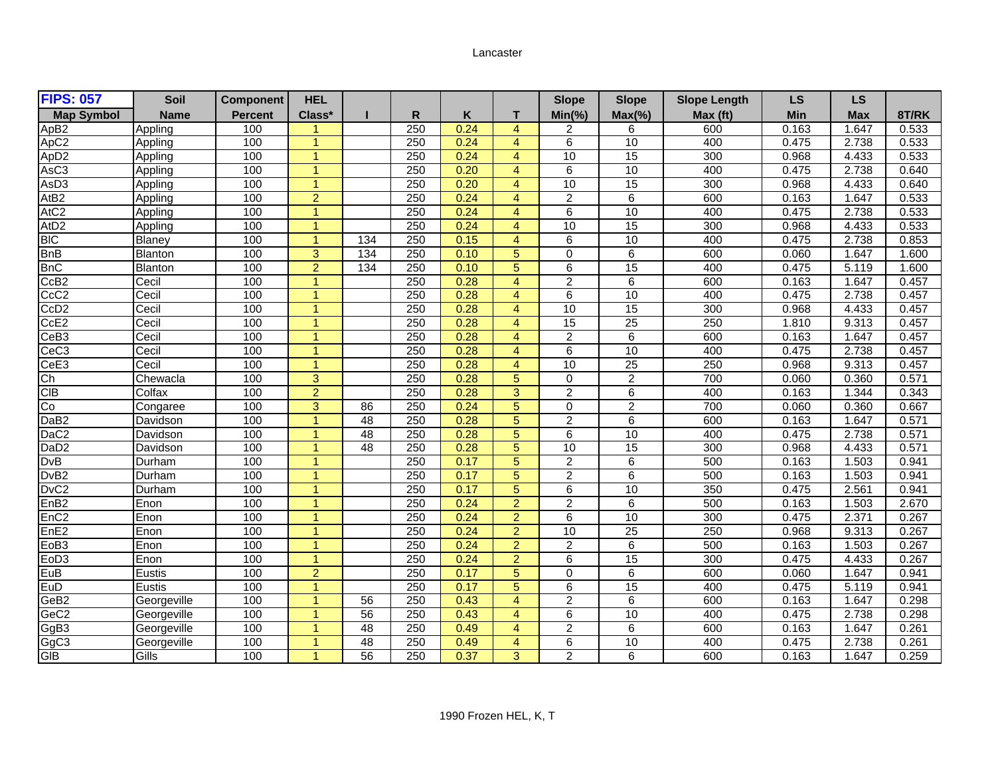## Lancaster

| <b>FIPS: 057</b>  | Soil           | <b>Component</b> | <b>HEL</b>           |                 |                  |      |                | <b>Slope</b>    | <b>Slope</b>    | <b>Slope Length</b> | <b>LS</b>  | LS         |       |
|-------------------|----------------|------------------|----------------------|-----------------|------------------|------|----------------|-----------------|-----------------|---------------------|------------|------------|-------|
| <b>Map Symbol</b> | <b>Name</b>    | <b>Percent</b>   | Class*               |                 | R                | Κ    | т              | $Min(\% )$      | $Max(\% )$      | Max (ft)            | <b>Min</b> | <b>Max</b> | 8T/RK |
| ApB <sub>2</sub>  | Appling        | 100              | 1                    |                 | 250              | 0.24 | $\overline{4}$ | 2               | 6               | 600                 | 0.163      | 1.647      | 0.533 |
| ApC <sub>2</sub>  | Appling        | 100              | $\mathbf{1}$         |                 | 250              | 0.24 | $\overline{4}$ | 6               | 10              | 400                 | 0.475      | 2.738      | 0.533 |
| ApD <sub>2</sub>  | Appling        | 100              | $\blacktriangleleft$ |                 | 250              | 0.24 | $\overline{4}$ | 10              | 15              | 300                 | 0.968      | 4.433      | 0.533 |
| AsC <sub>3</sub>  | Appling        | 100              | $\blacktriangleleft$ |                 | 250              | 0.20 | $\overline{4}$ | 6               | 10              | 400                 | 0.475      | 2.738      | 0.640 |
| AsD <sub>3</sub>  | Appling        | 100              | $\blacktriangleleft$ |                 | 250              | 0.20 | $\overline{4}$ | 10              | 15              | 300                 | 0.968      | 4.433      | 0.640 |
| At <sub>B2</sub>  | Appling        | 100              | $\overline{2}$       |                 | 250              | 0.24 | $\overline{4}$ | $\overline{c}$  | 6               | 600                 | 0.163      | 1.647      | 0.533 |
| AtC <sub>2</sub>  | Appling        | 100              | $\blacktriangleleft$ |                 | 250              | 0.24 | $\overline{4}$ | 6               | 10              | 400                 | 0.475      | 2.738      | 0.533 |
| At <sub>D</sub> 2 | Appling        | 100              | $\blacktriangleleft$ |                 | $\overline{250}$ | 0.24 | $\overline{4}$ | 10              | 15              | 300                 | 0.968      | 4.433      | 0.533 |
| <b>BIC</b>        | Blaney         | 100              | $\blacktriangleleft$ | 134             | 250              | 0.15 | $\overline{4}$ | 6               | 10              | 400                 | 0.475      | 2.738      | 0.853 |
| <b>BnB</b>        | <b>Blanton</b> | 100              | 3                    | 134             | 250              | 0.10 | 5              | $\Omega$        | 6               | 600                 | 0.060      | 1.647      | 1.600 |
| <b>BnC</b>        | <b>Blanton</b> | 100              | $\overline{2}$       | 134             | 250              | 0.10 | 5              | 6               | 15              | 400                 | 0.475      | 5.119      | 1.600 |
| CcB2              | Cecil          | 100              | $\blacktriangleleft$ |                 | 250              | 0.28 | $\overline{4}$ | $\overline{2}$  | $6\overline{6}$ | 600                 | 0.163      | 1.647      | 0.457 |
| CcC <sub>2</sub>  | Cecil          | 100              | $\blacktriangleleft$ |                 | 250              | 0.28 | $\overline{4}$ | 6               | 10              | 400                 | 0.475      | 2.738      | 0.457 |
| CcD <sub>2</sub>  | Cecil          | 100              | $\blacktriangleleft$ |                 | 250              | 0.28 | $\overline{4}$ | 10              | 15              | 300                 | 0.968      | 4.433      | 0.457 |
| CcE <sub>2</sub>  | Cecil          | 100              | $\blacktriangleleft$ |                 | 250              | 0.28 | $\overline{4}$ | 15              | $\overline{25}$ | 250                 | 1.810      | 9.313      | 0.457 |
| CeB3              | Cecil          | 100              | 1                    |                 | 250              | 0.28 | $\overline{4}$ | 2               | 6               | 600                 | 0.163      | 1.647      | 0.457 |
| CeC <sub>3</sub>  | Cecil          | 100              | $\blacktriangleleft$ |                 | 250              | 0.28 | $\overline{4}$ | 6               | 10              | 400                 | 0.475      | 2.738      | 0.457 |
| CeE3              | Cecil          | 100              | $\blacktriangleleft$ |                 | 250              | 0.28 | $\overline{4}$ | 10              | $\overline{25}$ | 250                 | 0.968      | 9.313      | 0.457 |
| Ch                | Chewacla       | 100              | 3                    |                 | $\overline{250}$ | 0.28 | 5              | $\Omega$        | $\overline{2}$  | 700                 | 0.060      | 0.360      | 0.571 |
| <b>CIB</b>        | Colfax         | 100              | $\overline{2}$       |                 | 250              | 0.28 | 3              | $\overline{2}$  | 6               | 400                 | 0.163      | 1.344      | 0.343 |
| Co                | Congaree       | 100              | 3                    | 86              | 250              | 0.24 | 5              | 0               | $\overline{2}$  | 700                 | 0.060      | 0.360      | 0.667 |
| DaB <sub>2</sub>  | Davidson       | 100              | $\blacktriangleleft$ | 48              | 250              | 0.28 | $\overline{5}$ | $\overline{c}$  | 6               | 600                 | 0.163      | 1.647      | 0.571 |
| DaC <sub>2</sub>  | Davidson       | 100              | $\blacktriangleleft$ | 48              | 250              | 0.28 | 5              | 6               | 10              | 400                 | 0.475      | 2.738      | 0.571 |
| DaD <sub>2</sub>  | Davidson       | 100              | $\overline{1}$       | 48              | $\overline{250}$ | 0.28 | 5              | $\overline{10}$ | $\overline{15}$ | 300                 | 0.968      | 4.433      | 0.571 |
| <b>DvB</b>        | Durham         | 100              | $\blacktriangleleft$ |                 | 250              | 0.17 | 5              | $\overline{2}$  | 6               | 500                 | 0.163      | 1.503      | 0.941 |
| DvB <sub>2</sub>  | Durham         | 100              | $\blacktriangleleft$ |                 | $\overline{250}$ | 0.17 | 5              | $\overline{2}$  | 6               | 500                 | 0.163      | 1.503      | 0.941 |
| DvC <sub>2</sub>  | Durham         | 100              | $\blacktriangleleft$ |                 | 250              | 0.17 | 5              | 6               | 10              | 350                 | 0.475      | 2.561      | 0.941 |
| EnB <sub>2</sub>  | Enon           | 100              | $\blacktriangleleft$ |                 | 250              | 0.24 | 2              | $\overline{2}$  | 6               | 500                 | 0.163      | 1.503      | 2.670 |
| EnC <sub>2</sub>  | Enon           | 100              | $\mathbf{1}$         |                 | 250              | 0.24 | $\overline{2}$ | 6               | 10              | 300                 | 0.475      | 2.371      | 0.267 |
| EnE <sub>2</sub>  | Enon           | 100              | $\mathbf{1}$         |                 | 250              | 0.24 | 2              | 10              | $\overline{25}$ | 250                 | 0.968      | 9.313      | 0.267 |
| EoB <sub>3</sub>  | Enon           | 100              | $\overline{1}$       |                 | 250              | 0.24 | $\overline{2}$ | 2               | 6               | 500                 | 0.163      | 1.503      | 0.267 |
| EoD <sub>3</sub>  | Enon           | 100              | $\blacktriangleleft$ |                 | 250              | 0.24 | 2              | 6               | 15              | 300                 | 0.475      | 4.433      | 0.267 |
| EuB               | Eustis         | 100              | $\overline{2}$       |                 | $\overline{250}$ | 0.17 | 5              | $\Omega$        | 6               | 600                 | 0.060      | 1.647      | 0.941 |
| EuD               | Eustis         | 100              | $\blacktriangleleft$ |                 | 250              | 0.17 | $\overline{5}$ | 6               | 15              | 400                 | 0.475      | 5.119      | 0.941 |
| GeB <sub>2</sub>  | Georgeville    | 100              | $\blacktriangleleft$ | 56              | 250              | 0.43 | $\overline{4}$ | $\overline{2}$  | 6               | 600                 | 0.163      | 1.647      | 0.298 |
| GeC <sub>2</sub>  | Georgeville    | 100              | $\overline{1}$       | $\overline{56}$ | 250              | 0.43 | $\overline{4}$ | 6               | 10              | 400                 | 0.475      | 2.738      | 0.298 |
| GgB3<br>GgC3      | Georgeville    | 100              |                      | 48              | 250              | 0.49 | $\overline{4}$ | $\overline{2}$  | 6               | 600                 | 0.163      | 1.647      | 0.261 |
|                   | Georgeville    | 100              |                      | $\overline{48}$ | $\overline{250}$ | 0.49 | $\overline{4}$ | 6               | 10              | 400                 | 0.475      | 2.738      | 0.261 |
| GIB               | Gills          | 100              | -1                   | $\overline{56}$ | 250              | 0.37 | 3              | $\overline{2}$  | 6               | 600                 | 0.163      | 1.647      | 0.259 |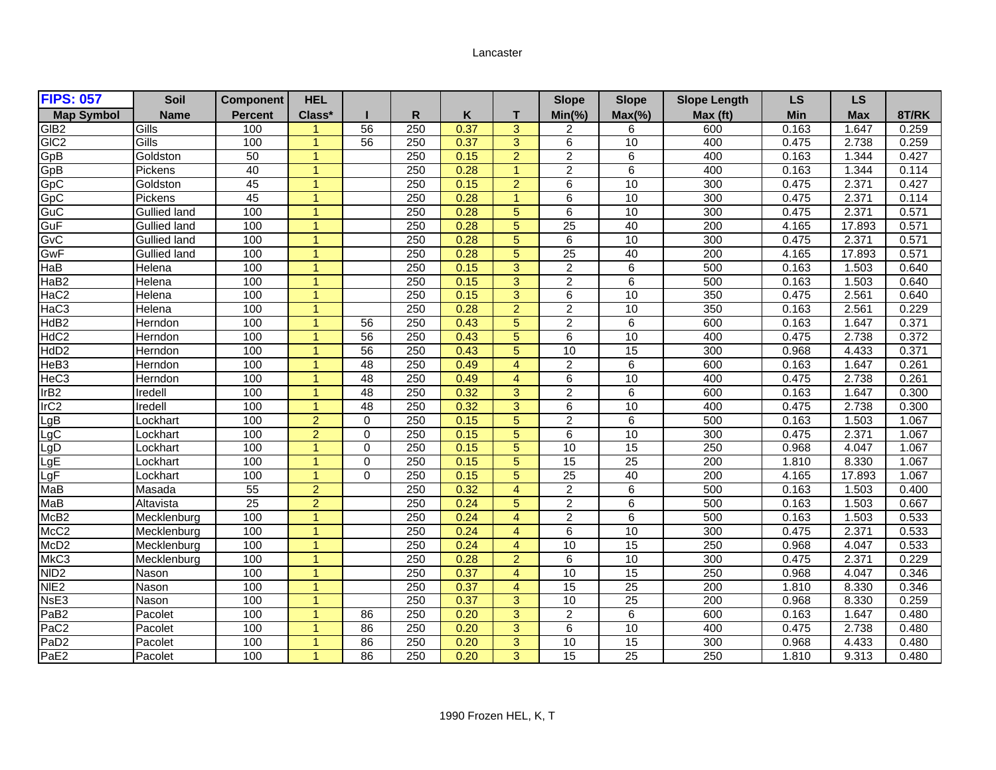## Lancaster

| <b>FIPS: 057</b>  | Soil                | <b>Component</b> | <b>HEL</b>           |                 |                  |      |                      | <b>Slope</b>    | <b>Slope</b>    | <b>Slope Length</b> | <b>LS</b>  | LS         |       |
|-------------------|---------------------|------------------|----------------------|-----------------|------------------|------|----------------------|-----------------|-----------------|---------------------|------------|------------|-------|
| <b>Map Symbol</b> | <b>Name</b>         | <b>Percent</b>   | Class*               |                 | R                | K    | т                    | $Min(\% )$      | $Max(\% )$      | Max (ft)            | <b>Min</b> | <b>Max</b> | 8T/RK |
| GIB <sub>2</sub>  | Gills               | 100              |                      | 56              | 250              | 0.37 | 3                    | 2               | 6               | 600                 | 0.163      | 1.647      | 0.259 |
| GIC <sub>2</sub>  | Gills               | 100              | 1                    | 56              | 250              | 0.37 | 3                    | 6               | 10              | 400                 | 0.475      | 2.738      | 0.259 |
| GpB               | Goldston            | 50               | $\overline{ }$       |                 | 250              | 0.15 | $\overline{2}$       | $\overline{2}$  | 6               | 400                 | 0.163      | 1.344      | 0.427 |
| GpB               | Pickens             | 40               | $\blacktriangleleft$ |                 | 250              | 0.28 | $\overline{1}$       | $\overline{2}$  | 6               | 400                 | 0.163      | 1.344      | 0.114 |
| GpC               | Goldston            | 45               | $\overline{1}$       |                 | 250              | 0.15 | $\overline{2}$       | 6               | 10              | 300                 | 0.475      | 2.371      | 0.427 |
| GpC               | Pickens             | 45               | -1                   |                 | 250              | 0.28 | $\blacktriangleleft$ | 6               | 10              | 300                 | 0.475      | 2.371      | 0.114 |
| GuC               | <b>Gullied land</b> | 100              | $\blacktriangleleft$ |                 | 250              | 0.28 | 5                    | 6               | 10              | 300                 | 0.475      | 2.371      | 0.571 |
| GuF               | <b>Gullied land</b> | 100              | $\overline{ }$       |                 | $\overline{250}$ | 0.28 | 5                    | $\overline{25}$ | 40              | $\overline{200}$    | 4.165      | 17.893     | 0.571 |
| GvC               | <b>Gullied land</b> | 100              | $\overline{1}$       |                 | 250              | 0.28 | 5                    | 6               | 10              | 300                 | 0.475      | 2.371      | 0.571 |
| GwF               | <b>Gullied land</b> | 100              | $\blacktriangleleft$ |                 | 250              | 0.28 | 5                    | $\overline{25}$ | 40              | 200                 | 4.165      | 17.893     | 0.571 |
| HaB               | Helena              | 100              | 1                    |                 | 250              | 0.15 | 3                    | 2               | 6               | 500                 | 0.163      | 1.503      | 0.640 |
| HaB <sub>2</sub>  | Helena              | 100              | $\blacktriangleleft$ |                 | 250              | 0.15 | 3                    | $\overline{2}$  | 6               | 500                 | 0.163      | 1.503      | 0.640 |
| HaC <sub>2</sub>  | Helena              | 100              | $\overline{1}$       |                 | $\overline{250}$ | 0.15 | 3                    | 6               | 10              | 350                 | 0.475      | 2.561      | 0.640 |
| HaC <sub>3</sub>  | Helena              | 100              | $\blacktriangleleft$ |                 | 250              | 0.28 | $\overline{2}$       | $\overline{2}$  | 10              | 350                 | 0.163      | 2.561      | 0.229 |
| HdB <sub>2</sub>  | Herndon             | 100              | $\blacktriangleleft$ | 56              | $\overline{250}$ | 0.43 | 5                    | $\overline{2}$  | 6               | 600                 | 0.163      | 1.647      | 0.371 |
| HdC <sub>2</sub>  | Herndon             | 100              | 1                    | 56              | 250              | 0.43 | 5                    | 6               | 10              | 400                 | 0.475      | 2.738      | 0.372 |
| HdD <sub>2</sub>  | Herndon             | 100              | $\blacktriangleleft$ | $\overline{56}$ | 250              | 0.43 | $\overline{5}$       | 10              | 15              | 300                 | 0.968      | 4.433      | 0.371 |
| HeB <sub>3</sub>  | Herndon             | 100              | $\blacktriangleleft$ | 48              | 250              | 0.49 | $\overline{4}$       | $\overline{2}$  | 6               | 600                 | 0.163      | 1.647      | 0.261 |
| HeC <sub>3</sub>  | Herndon             | 100              | $\blacktriangleleft$ | $\overline{48}$ | $\overline{250}$ | 0.49 | $\overline{4}$       | 6               | 10              | 400                 | 0.475      | 2.738      | 0.261 |
| IrB2              | Iredell             | 100              | $\blacktriangleleft$ | 48              | 250              | 0.32 | 3                    | $\overline{2}$  | 6               | 600                 | 0.163      | 1.647      | 0.300 |
| IrC2              | Iredell             | 100              | 1                    | 48              | 250              | 0.32 | 3                    | 6               | 10              | 400                 | 0.475      | 2.738      | 0.300 |
|                   | Lockhart            | 100              | $\overline{2}$       | $\mathbf 0$     | 250              | 0.15 | 5                    | 2               | 6               | 500                 | 0.163      | 1.503      | 1.067 |
| LgB<br>LgC<br>LgD | Lockhart            | 100              | $\overline{2}$       | $\Omega$        | 250              | 0.15 | 5                    | 6               | 10              | 300                 | 0.475      | 2.371      | 1.067 |
|                   | Lockhart            | 100              | $\overline{1}$       | $\Omega$        | $\overline{250}$ | 0.15 | 5                    | $\overline{10}$ | $\overline{15}$ | 250                 | 0.968      | 4.047      | 1.067 |
| LgE               | Lockhart            | 100              | $\blacktriangleleft$ | $\Omega$        | 250              | 0.15 | 5                    | $\overline{15}$ | 25              | 200                 | 1.810      | 8.330      | 1.067 |
| LgF               | Lockhart            | 100              | $\overline{1}$       | $\Omega$        | $\overline{250}$ | 0.15 | 5                    | $\overline{25}$ | 40              | 200                 | 4.165      | 17.893     | 1.067 |
| MaB               | Masada              | 55               | $\overline{2}$       |                 | 250              | 0.32 | $\overline{4}$       | $\overline{2}$  | 6               | 500                 | 0.163      | 1.503      | 0.400 |
| Mab               | Altavista           | $\overline{25}$  | $\overline{2}$       |                 | 250              | 0.24 | 5                    | $\overline{2}$  | 6               | 500                 | 0.163      | 1.503      | 0.667 |
| McB <sub>2</sub>  | Mecklenburg         | 100              | $\mathbf{1}$         |                 | 250              | 0.24 | $\overline{4}$       | $\overline{c}$  | 6               | 500                 | 0.163      | 1.503      | 0.533 |
| McC <sub>2</sub>  | Mecklenburg         | 100              | $\mathbf{1}$         |                 | 250              | 0.24 | $\overline{4}$       | 6               | 10              | 300                 | 0.475      | 2.371      | 0.533 |
| McD <sub>2</sub>  | Mecklenburg         | 100              | $\overline{1}$       |                 | 250              | 0.24 | $\overline{4}$       | 10              | 15              | 250                 | 0.968      | 4.047      | 0.533 |
| MkC <sub>3</sub>  | Mecklenburg         | 100              | $\blacktriangleleft$ |                 | 250              | 0.28 | $\overline{2}$       | 6               | 10              | 300                 | 0.475      | 2.371      | 0.229 |
| NID2              | Nason               | 100              | $\blacktriangleleft$ |                 | $\overline{250}$ | 0.37 | $\overline{4}$       | 10              | $\overline{15}$ | 250                 | 0.968      | 4.047      | 0.346 |
| NIE <sub>2</sub>  | <b>Nason</b>        | 100              | $\blacktriangleleft$ |                 | 250              | 0.37 | $\overline{4}$       | 15              | 25              | 200                 | 1.810      | 8.330      | 0.346 |
| NsE3              | Nason               | 100              | $\blacktriangleleft$ |                 | 250              | 0.37 | 3                    | 10              | $\overline{25}$ | 200                 | 0.968      | 8.330      | 0.259 |
| PaB <sub>2</sub>  | Pacolet             | 100              | $\overline{1}$       | 86              | 250              | 0.20 | 3                    | 2               | 6               | 600                 | 0.163      | 1.647      | 0.480 |
| PaC <sub>2</sub>  | Pacolet             | 100              |                      | 86              | 250              | 0.20 | 3                    | 6               | 10              | 400                 | 0.475      | 2.738      | 0.480 |
| PaD <sub>2</sub>  | Pacolet             | 100              | $\blacktriangleleft$ | 86              | $\overline{250}$ | 0.20 | 3                    | 10              | 15              | 300                 | 0.968      | 4.433      | 0.480 |
| PaE <sub>2</sub>  | Pacolet             | 100              | $\mathbf{1}$         | 86              | 250              | 0.20 | 3                    | 15              | 25              | 250                 | 1.810      | 9.313      | 0.480 |